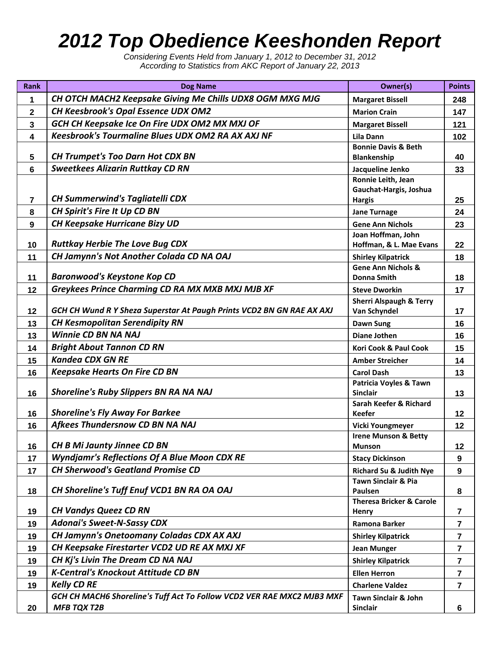## *2012 Top Obedience Keeshonden Report*

*Considering Events Held from January 1, 2012 to December 31, 2012 According to Statistics from AKC Report of January 22, 2013* 

| Rank             | <b>Dog Name</b>                                                        | Owner(s)                                           | <b>Points</b>           |
|------------------|------------------------------------------------------------------------|----------------------------------------------------|-------------------------|
| 1                | CH OTCH MACH2 Keepsake Giving Me Chills UDX8 OGM MXG MJG               | <b>Margaret Bissell</b>                            | 248                     |
| $\mathbf{2}$     | <b>CH Keesbrook's Opal Essence UDX OM2</b>                             | <b>Marion Crain</b>                                | 147                     |
| 3                | GCH CH Keepsake Ice On Fire UDX OM2 MX MXJ OF                          | <b>Margaret Bissell</b>                            | 121                     |
| 4                | <b>Keesbrook's Tourmaline Blues UDX OM2 RA AX AXJ NF</b>               | <b>Lila Dann</b>                                   | 102                     |
|                  |                                                                        | <b>Bonnie Davis &amp; Beth</b>                     |                         |
| $5\phantom{.0}$  | <b>CH Trumpet's Too Darn Hot CDX BN</b>                                | <b>Blankenship</b>                                 | 40                      |
| $6\phantom{a}$   | <b>Sweetkees Alizarin Ruttkay CD RN</b>                                | Jacqueline Jenko                                   | 33                      |
|                  |                                                                        | Ronnie Leith, Jean<br>Gauchat-Hargis, Joshua       |                         |
| $\overline{7}$   | <b>CH Summerwind's Tagliatelli CDX</b>                                 | <b>Hargis</b>                                      | 25                      |
| 8                | CH Spirit's Fire It Up CD BN                                           | <b>Jane Turnage</b>                                | 24                      |
| $\boldsymbol{9}$ | <b>CH Keepsake Hurricane Bizy UD</b>                                   | <b>Gene Ann Nichols</b>                            | 23                      |
|                  |                                                                        | Joan Hoffman, John                                 |                         |
| 10               | <b>Ruttkay Herbie The Love Bug CDX</b>                                 | Hoffman, & L. Mae Evans                            | 22                      |
| 11               | CH Jamynn's Not Another Colada CD NA OAJ                               | <b>Shirley Kilpatrick</b>                          | 18                      |
|                  |                                                                        | <b>Gene Ann Nichols &amp;</b>                      |                         |
| 11               | <b>Baronwood's Keystone Kop CD</b>                                     | Donna Smith                                        | 18                      |
| 12               | Greykees Prince Charming CD RA MX MXB MXJ MJB XF                       | <b>Steve Dworkin</b>                               | 17                      |
|                  | GCH CH Wund R Y Sheza Superstar At Paugh Prints VCD2 BN GN RAE AX AXJ  | <b>Sherri Alspaugh &amp; Terry</b><br>Van Schyndel |                         |
| 12               | <b>CH Kesmopolitan Serendipity RN</b>                                  |                                                    | 17                      |
| 13               | <b>Winnie CD BN NA NAJ</b>                                             | <b>Dawn Sung</b>                                   | 16                      |
| 13               |                                                                        | <b>Diane Jothen</b>                                | 16                      |
| 14               | <b>Bright About Tannon CD RN</b>                                       | Kori Cook & Paul Cook                              | 15                      |
| 15               | <b>Kandea CDX GN RE</b>                                                | <b>Amber Streicher</b>                             | 14                      |
| 16               | <b>Keepsake Hearts On Fire CD BN</b>                                   | <b>Carol Dash</b>                                  | 13                      |
| 16               | <b>Shoreline's Ruby Slippers BN RA NA NAJ</b>                          | Patricia Voyles & Tawn<br><b>Sinclair</b>          | 13                      |
|                  |                                                                        | Sarah Keefer & Richard                             |                         |
| 16               | <b>Shoreline's Fly Away For Barkee</b>                                 | <b>Keefer</b>                                      | 12                      |
| 16               | Afkees Thundersnow CD BN NA NAJ                                        | Vicki Youngmeyer                                   | 12                      |
|                  |                                                                        | <b>Irene Munson &amp; Betty</b>                    |                         |
| 16               | <b>CH B Mi Jaunty Jinnee CD BN</b>                                     | Munson                                             | 12                      |
| 17               | <b>Wyndjamr's Reflections Of A Blue Moon CDX RE</b>                    | <b>Stacy Dickinson</b>                             | 9                       |
| 17               | <b>CH Sherwood's Geatland Promise CD</b>                               | <b>Richard Su &amp; Judith Nye</b>                 | 9                       |
| 18               | CH Shoreline's Tuff Enuf VCD1 BN RA OA OAJ                             | <b>Tawn Sinclair &amp; Pia</b><br>Paulsen          | 8                       |
|                  |                                                                        | <b>Theresa Bricker &amp; Carole</b>                |                         |
| 19               | <b>CH Vandys Queez CD RN</b>                                           | Henry                                              | 7                       |
| 19               | <b>Adonai's Sweet-N-Sassy CDX</b>                                      | <b>Ramona Barker</b>                               | $\overline{\mathbf{7}}$ |
| 19               | CH Jamynn's Onetoomany Coladas CDX AX AXJ                              | <b>Shirley Kilpatrick</b>                          | $\overline{\mathbf{7}}$ |
| 19               | CH Keepsake Firestarter VCD2 UD RE AX MXJ XF                           | <b>Jean Munger</b>                                 | $\overline{\mathbf{7}}$ |
| 19               | CH Kj's Livin The Dream CD NA NAJ                                      | <b>Shirley Kilpatrick</b>                          | $\overline{\mathbf{7}}$ |
| 19               | <b>K-Central's Knockout Attitude CD BN</b>                             | <b>Ellen Herron</b>                                | $\overline{7}$          |
| 19               | <b>Kelly CD RE</b>                                                     | <b>Charlene Valdez</b>                             | 7                       |
|                  | GCH CH MACH6 Shoreline's Tuff Act To Follow VCD2 VER RAE MXC2 MJB3 MXF | Tawn Sinclair & John                               |                         |
| 20               | <b>MFB TQX T2B</b>                                                     | <b>Sinclair</b>                                    | 6                       |